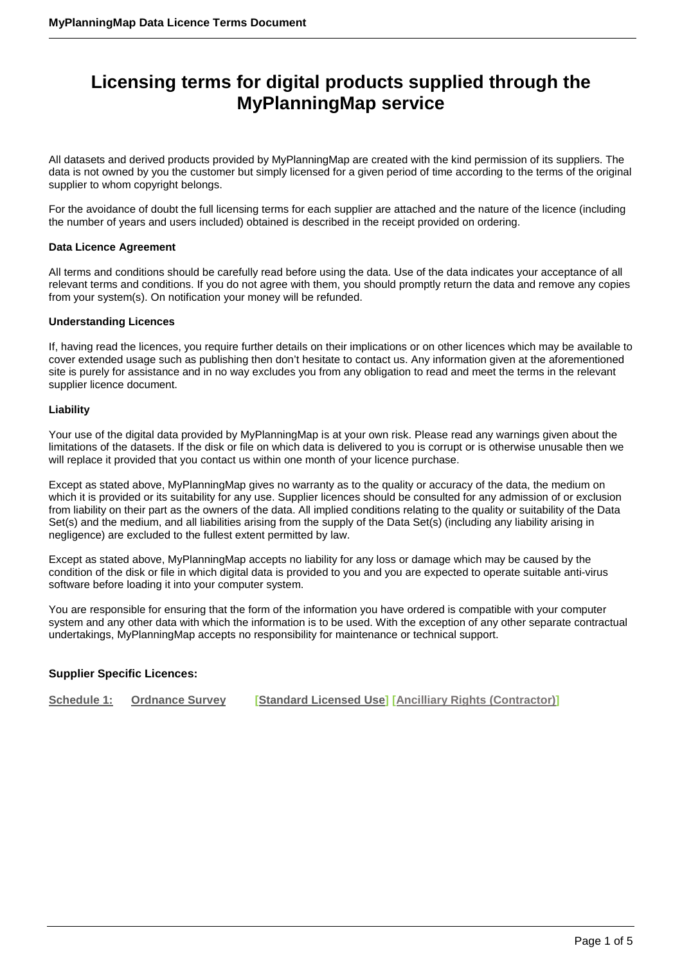# **Licensing terms for digital products supplied through the MyPlanningMap service**

All datasets and derived products provided by MyPlanningMap are created with the kind permission of its suppliers. The data is not owned by you the customer but simply licensed for a given period of time according to the terms of the original supplier to whom copyright belongs.

For the avoidance of doubt the full licensing terms for each supplier are attached and the nature of the licence (including the number of years and users included) obtained is described in the receipt provided on ordering.

#### **Data Licence Agreement**

All terms and conditions should be carefully read before using the data. Use of the data indicates your acceptance of all relevant terms and conditions. If you do not agree with them, you should promptly return the data and remove any copies from your system(s). On notification your money will be refunded.

#### **Understanding Licences**

If, having read the licences, you require further details on their implications or on other licences which may be available to cover extended usage such as publishing then don't hesitate to contact us. Any information given at the aforementioned site is purely for assistance and in no way excludes you from any obligation to read and meet the terms in the relevant supplier licence document.

#### **Liability**

Your use of the digital data provided by MyPlanningMap is at your own risk. Please read any warnings given about the limitations of the datasets. If the disk or file on which data is delivered to you is corrupt or is otherwise unusable then we will replace it provided that you contact us within one month of your licence purchase.

Except as stated above, MyPlanningMap gives no warranty as to the quality or accuracy of the data, the medium on which it is provided or its suitability for any use. Supplier licences should be consulted for any admission of or exclusion from liability on their part as the owners of the data. All implied conditions relating to the quality or suitability of the Data Set(s) and the medium, and all liabilities arising from the supply of the Data Set(s) (including any liability arising in negligence) are excluded to the fullest extent permitted by law.

Except as stated above, MyPlanningMap accepts no liability for any loss or damage which may be caused by the condition of the disk or file in which digital data is provided to you and you are expected to operate suitable anti-virus software before loading it into your computer system.

You are responsible for ensuring that the form of the information you have ordered is compatible with your computer system and any other data with which the information is to be used. With the exception of any other separate contractual undertakings, MyPlanningMap accepts no responsibility for maintenance or technical support.

#### **Supplier Specific Licences:**

**Schedule 1: [Ordnance Survey](#page-1-0) [\[Standard Licensed Use\]](#page-1-0) [\[Ancilliary Rights \(Contractor\)\]](#page-2-0)**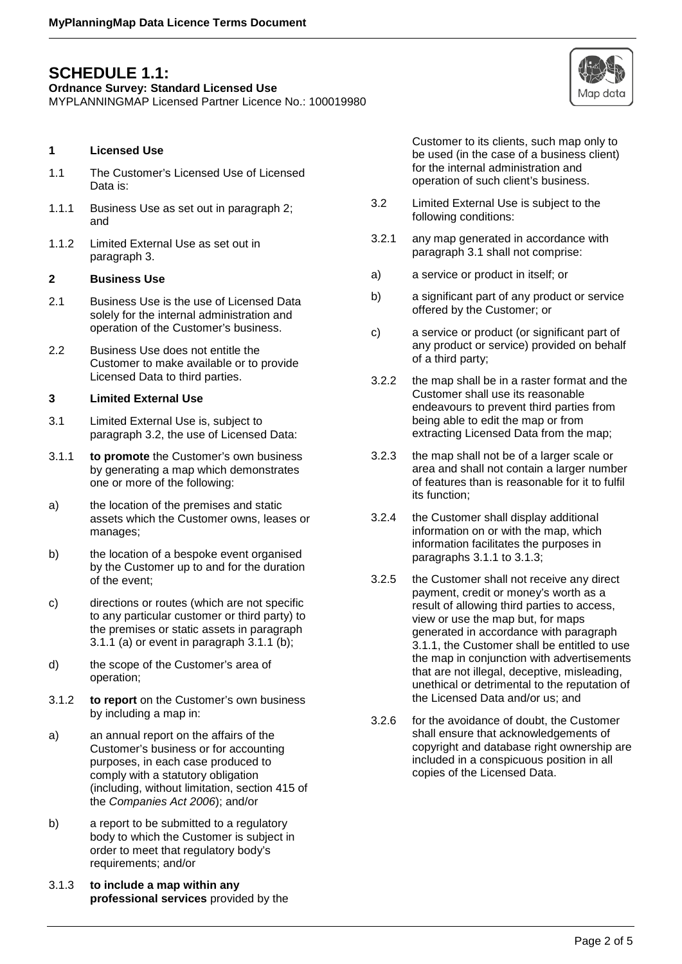## <span id="page-1-0"></span>**SCHEDULE 1.1:**

**Ordnance Survey: Standard Licensed Use**

MYPLANNINGMAP Licensed Partner Licence No.: 100019980

#### **1 Licensed Use**

- 1.1 The Customer's Licensed Use of Licensed Data is:
- 1.1.1 Business Use as set out in paragraph 2; and
- 1.1.2 Limited External Use as set out in paragraph 3.

#### **2 Business Use**

- 2.1 Business Use is the use of Licensed Data solely for the internal administration and operation of the Customer's business.
- 2.2 Business Use does not entitle the Customer to make available or to provide Licensed Data to third parties.

#### **3 Limited External Use**

- 3.1 Limited External Use is, subject to paragraph 3.2, the use of Licensed Data:
- 3.1.1 **to promote** the Customer's own business by generating a map which demonstrates one or more of the following:
- a) the location of the premises and static assets which the Customer owns, leases or manages;
- b) the location of a bespoke event organised by the Customer up to and for the duration of the event;
- c) directions or routes (which are not specific to any particular customer or third party) to the premises or static assets in paragraph 3.1.1 (a) or event in paragraph 3.1.1 (b);
- d) the scope of the Customer's area of operation;
- 3.1.2 **to report** on the Customer's own business by including a map in:
- a) an annual report on the affairs of the Customer's business or for accounting purposes, in each case produced to comply with a statutory obligation (including, without limitation, section 415 of the *Companies Act 2006*); and/or
- b) a report to be submitted to a regulatory body to which the Customer is subject in order to meet that regulatory body's requirements; and/or
- 3.1.3 **to include a map within any professional services** provided by the

Customer to its clients, such map only to be used (in the case of a business client) for the internal administration and operation of such client's business.

- 3.2 Limited External Use is subject to the following conditions:
- 3.2.1 any map generated in accordance with paragraph 3.1 shall not comprise:
- a) a service or product in itself; or
- b) a significant part of any product or service offered by the Customer; or
- c) a service or product (or significant part of any product or service) provided on behalf of a third party;
- 3.2.2 the map shall be in a raster format and the Customer shall use its reasonable endeavours to prevent third parties from being able to edit the map or from extracting Licensed Data from the map;
- 3.2.3 the map shall not be of a larger scale or area and shall not contain a larger number of features than is reasonable for it to fulfil its function;
- 3.2.4 the Customer shall display additional information on or with the map, which information facilitates the purposes in paragraphs 3.1.1 to 3.1.3;
- 3.2.5 the Customer shall not receive any direct payment, credit or money's worth as a result of allowing third parties to access, view or use the map but, for maps generated in accordance with paragraph 3.1.1, the Customer shall be entitled to use the map in conjunction with advertisements that are not illegal, deceptive, misleading, unethical or detrimental to the reputation of the Licensed Data and/or us; and
- 3.2.6 for the avoidance of doubt, the Customer shall ensure that acknowledgements of copyright and database right ownership are included in a conspicuous position in all copies of the Licensed Data.

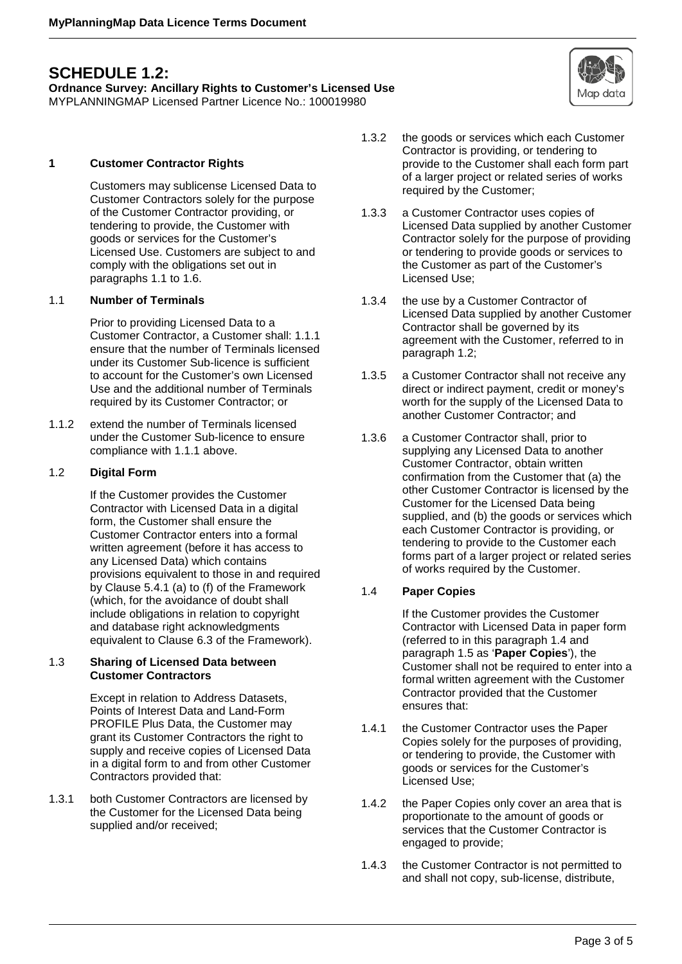## <span id="page-2-0"></span>**SCHEDULE 1.2:**

**Ordnance Survey: Ancillary Rights to Customer's Licensed Use** MYPLANNINGMAP Licensed Partner Licence No.: 100019980

**1 Customer Contractor Rights**

Customers may sublicense Licensed Data to Customer Contractors solely for the purpose of the Customer Contractor providing, or tendering to provide, the Customer with goods or services for the Customer's Licensed Use. Customers are subject to and comply with the obligations set out in paragraphs 1.1 to 1.6.

#### 1.1 **Number of Terminals**

Prior to providing Licensed Data to a Customer Contractor, a Customer shall: 1.1.1 ensure that the number of Terminals licensed under its Customer Sub-licence is sufficient to account for the Customer's own Licensed Use and the additional number of Terminals required by its Customer Contractor; or

1.1.2 extend the number of Terminals licensed under the Customer Sub-licence to ensure compliance with 1.1.1 above.

#### 1.2 **Digital Form**

If the Customer provides the Customer Contractor with Licensed Data in a digital form, the Customer shall ensure the Customer Contractor enters into a formal written agreement (before it has access to any Licensed Data) which contains provisions equivalent to those in and required by Clause 5.4.1 (a) to (f) of the Framework (which, for the avoidance of doubt shall include obligations in relation to copyright and database right acknowledgments equivalent to Clause 6.3 of the Framework).

#### 1.3 **Sharing of Licensed Data between Customer Contractors**

Except in relation to Address Datasets, Points of Interest Data and Land-Form PROFILE Plus Data, the Customer may grant its Customer Contractors the right to supply and receive copies of Licensed Data in a digital form to and from other Customer Contractors provided that:

1.3.1 both Customer Contractors are licensed by the Customer for the Licensed Data being supplied and/or received;

- 1.3.2 the goods or services which each Customer Contractor is providing, or tendering to provide to the Customer shall each form part of a larger project or related series of works required by the Customer;
- 1.3.3 a Customer Contractor uses copies of Licensed Data supplied by another Customer Contractor solely for the purpose of providing or tendering to provide goods or services to the Customer as part of the Customer's Licensed Use;
- 1.3.4 the use by a Customer Contractor of Licensed Data supplied by another Customer Contractor shall be governed by its agreement with the Customer, referred to in paragraph 1.2;
- 1.3.5 a Customer Contractor shall not receive any direct or indirect payment, credit or money's worth for the supply of the Licensed Data to another Customer Contractor; and
- 1.3.6 a Customer Contractor shall, prior to supplying any Licensed Data to another Customer Contractor, obtain written confirmation from the Customer that (a) the other Customer Contractor is licensed by the Customer for the Licensed Data being supplied, and (b) the goods or services which each Customer Contractor is providing, or tendering to provide to the Customer each forms part of a larger project or related series of works required by the Customer.

### 1.4 **Paper Copies**

If the Customer provides the Customer Contractor with Licensed Data in paper form (referred to in this paragraph 1.4 and paragraph 1.5 as '**Paper Copies**'), the Customer shall not be required to enter into a formal written agreement with the Customer Contractor provided that the Customer ensures that:

- 1.4.1 the Customer Contractor uses the Paper Copies solely for the purposes of providing, or tendering to provide, the Customer with goods or services for the Customer's Licensed Use;
- 1.4.2 the Paper Copies only cover an area that is proportionate to the amount of goods or services that the Customer Contractor is engaged to provide;
- 1.4.3 the Customer Contractor is not permitted to and shall not copy, sub-license, distribute,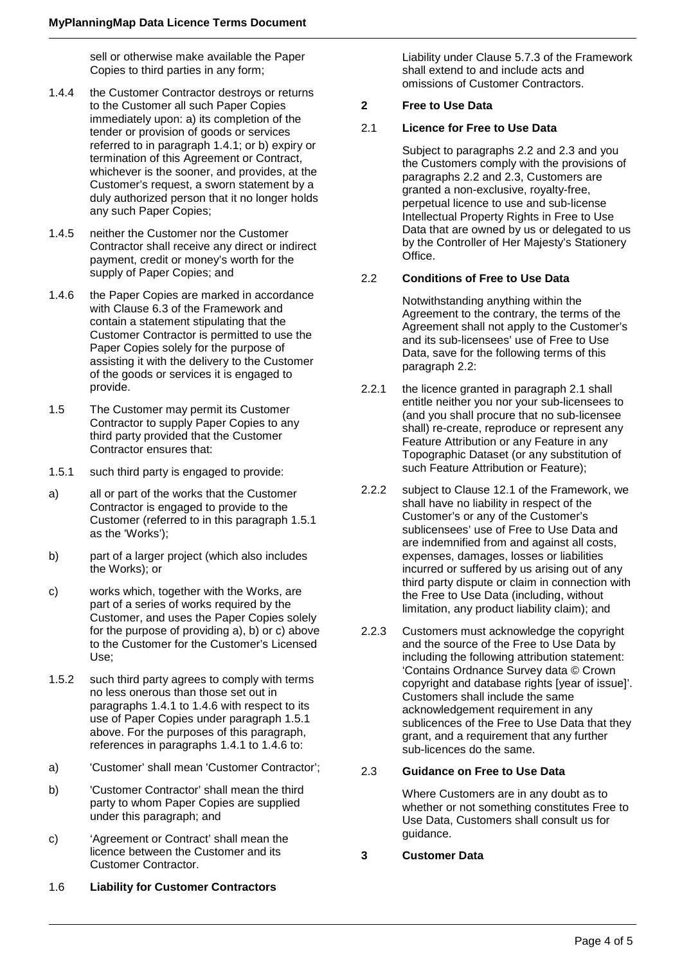sell or otherwise make available the Paper Copies to third parties in any form;

- 1.4.4 the Customer Contractor destroys or returns to the Customer all such Paper Copies immediately upon: a) its completion of the tender or provision of goods or services referred to in paragraph 1.4.1; or b) expiry or termination of this Agreement or Contract, whichever is the sooner, and provides, at the Customer's request, a sworn statement by a duly authorized person that it no longer holds any such Paper Copies;
- 1.4.5 neither the Customer nor the Customer Contractor shall receive any direct or indirect payment, credit or money's worth for the supply of Paper Copies; and
- 1.4.6 the Paper Copies are marked in accordance with Clause 6.3 of the Framework and contain a statement stipulating that the Customer Contractor is permitted to use the Paper Copies solely for the purpose of assisting it with the delivery to the Customer of the goods or services it is engaged to provide.
- 1.5 The Customer may permit its Customer Contractor to supply Paper Copies to any third party provided that the Customer Contractor ensures that:
- 1.5.1 such third party is engaged to provide:
- a) all or part of the works that the Customer Contractor is engaged to provide to the Customer (referred to in this paragraph 1.5.1 as the 'Works');
- b) part of a larger project (which also includes the Works); or
- c) works which, together with the Works, are part of a series of works required by the Customer, and uses the Paper Copies solely for the purpose of providing a), b) or c) above to the Customer for the Customer's Licensed Use;
- 1.5.2 such third party agrees to comply with terms no less onerous than those set out in paragraphs 1.4.1 to 1.4.6 with respect to its use of Paper Copies under paragraph 1.5.1 above. For the purposes of this paragraph, references in paragraphs 1.4.1 to 1.4.6 to:
- a) 'Customer' shall mean 'Customer Contractor';
- b) 'Customer Contractor' shall mean the third party to whom Paper Copies are supplied under this paragraph; and
- c) 'Agreement or Contract' shall mean the licence between the Customer and its Customer Contractor.
- 1.6 **Liability for Customer Contractors**

Liability under Clause 5.7.3 of the Framework shall extend to and include acts and omissions of Customer Contractors.

#### **2 Free to Use Data**

#### 2.1 **Licence for Free to Use Data**

Subject to paragraphs 2.2 and 2.3 and you the Customers comply with the provisions of paragraphs 2.2 and 2.3, Customers are granted a non-exclusive, royalty-free, perpetual licence to use and sub-license Intellectual Property Rights in Free to Use Data that are owned by us or delegated to us by the Controller of Her Majesty's Stationery Office.

#### 2.2 **Conditions of Free to Use Data**

Notwithstanding anything within the Agreement to the contrary, the terms of the Agreement shall not apply to the Customer's and its sub-licensees' use of Free to Use Data, save for the following terms of this paragraph 2.2:

- 2.2.1 the licence granted in paragraph 2.1 shall entitle neither you nor your sub-licensees to (and you shall procure that no sub-licensee shall) re-create, reproduce or represent any Feature Attribution or any Feature in any Topographic Dataset (or any substitution of such Feature Attribution or Feature);
- 2.2.2 subject to Clause 12.1 of the Framework, we shall have no liability in respect of the Customer's or any of the Customer's sublicensees' use of Free to Use Data and are indemnified from and against all costs, expenses, damages, losses or liabilities incurred or suffered by us arising out of any third party dispute or claim in connection with the Free to Use Data (including, without limitation, any product liability claim); and
- 2.2.3 Customers must acknowledge the copyright and the source of the Free to Use Data by including the following attribution statement: 'Contains Ordnance Survey data © Crown copyright and database rights [year of issue]'. Customers shall include the same acknowledgement requirement in any sublicences of the Free to Use Data that they grant, and a requirement that any further sub-licences do the same.

#### 2.3 **Guidance on Free to Use Data**

Where Customers are in any doubt as to whether or not something constitutes Free to Use Data, Customers shall consult us for guidance.

**3 Customer Data**